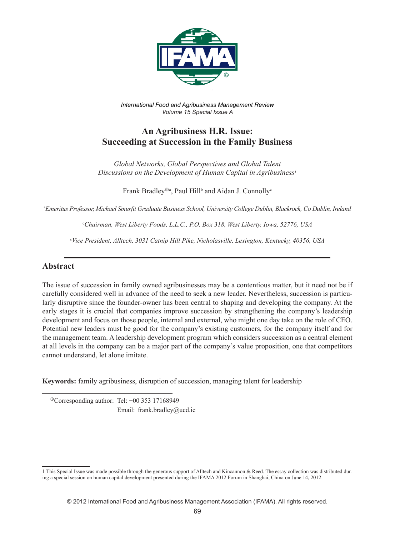

*International Food and Agribusiness Management Review Volume 15 Special Issue A*

# **An Agribusiness H.R. Issue: Succeeding at Succession in the Family Business**

*Global Networks, Global Perspectives and Global Talent Discussions on the Development of Human Capital in Agribusiness1*

Frank Bradley®<sup>a</sup>, Paul Hill<sup>b</sup> and Aidan J. Connolly<sup>c</sup>

a *Emeritus Professor, Michael Smurfit Graduate Business School, University College Dublin, Blackrock, Co Dublin, Ireland*

c *Chairman, West Liberty Foods, L.L.C., P.O. Box 318, West Liberty, Iowa, 52776, USA*

c *Vice President, Alltech, 3031 Catnip Hill Pike, Nicholasville, Lexington, Kentucky, 40356, USA*

#### **Abstract**

The issue of succession in family owned agribusinesses may be a contentious matter, but it need not be if carefully considered well in advance of the need to seek a new leader. Nevertheless, succession is particularly disruptive since the founder-owner has been central to shaping and developing the company. At the early stages it is crucial that companies improve succession by strengthening the company's leadership development and focus on those people, internal and external, who might one day take on the role of CEO. Potential new leaders must be good for the company's existing customers, for the company itself and for the management team. A leadership development program which considers succession as a central element at all levels in the company can be a major part of the company's value proposition, one that competitors cannot understand, let alone imitate.

**Keywords:** family agribusiness, disruption of succession, managing talent for leadership

 Corresponding author: Tel: +00 353 17168949 Email: frank.bradley@ucd.ie

<sup>1</sup> This Special Issue was made possible through the generous support of Alltech and Kincannon & Reed. The essay collection was distributed during a special session on human capital development presented during the IFAMA 2012 Forum in Shanghai, China on June 14, 2012.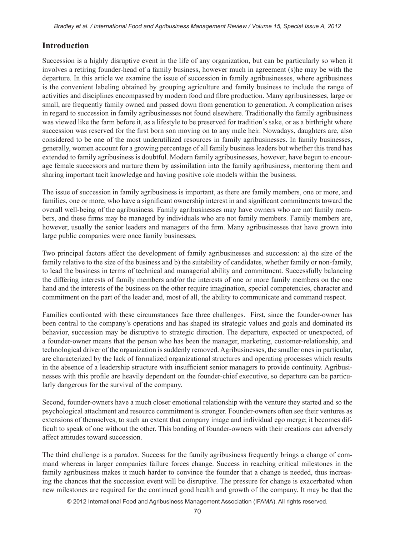### **Introduction**

Succession is a highly disruptive event in the life of any organization, but can be particularly so when it involves a retiring founder-head of a family business, however much in agreement (s)he may be with the departure. In this article we examine the issue of succession in family agribusinesses, where agribusiness is the convenient labeling obtained by grouping agriculture and family business to include the range of activities and disciplines encompassed by modern food and fibre production. Many agribusinesses, large or small, are frequently family owned and passed down from generation to generation. A complication arises in regard to succession in family agribusinesses not found elsewhere. Traditionally the family agribusiness was viewed like the farm before it, as a lifestyle to be preserved for tradition's sake, or as a birthright where succession was reserved for the first born son moving on to any male heir. Nowadays, daughters are, also considered to be one of the most underutilized resources in family agribusinesses. In family businesses, generally, women account for a growing percentage of all family business leaders but whether this trend has extended to family agribusiness is doubtful. Modern family agribusinesses, however, have begun to encourage female successors and nurture them by assimilation into the family agribusiness, mentoring them and sharing important tacit knowledge and having positive role models within the business.

The issue of succession in family agribusiness is important, as there are family members, one or more, and families, one or more, who have a significant ownership interest in and significant commitments toward the overall well-being of the agribusiness. Family agribusinesses may have owners who are not family members, and these firms may be managed by individuals who are not family members. Family members are, however, usually the senior leaders and managers of the firm. Many agribusinesses that have grown into large public companies were once family businesses.

Two principal factors affect the development of family agribusinesses and succession: a) the size of the family relative to the size of the business and b) the suitability of candidates, whether family or non-family, to lead the business in terms of technical and managerial ability and commitment. Successfully balancing the differing interests of family members and/or the interests of one or more family members on the one hand and the interests of the business on the other require imagination, special competencies, character and commitment on the part of the leader and, most of all, the ability to communicate and command respect.

Families confronted with these circumstances face three challenges. First, since the founder-owner has been central to the company's operations and has shaped its strategic values and goals and dominated its behavior, succession may be disruptive to strategic direction. The departure, expected or unexpected, of a founder-owner means that the person who has been the manager, marketing, customer-relationship, and technological driver of the organization is suddenly removed. Agribusinesses, the smaller ones in particular, are characterized by the lack of formalized organizational structures and operating processes which results in the absence of a leadership structure with insufficient senior managers to provide continuity. Agribusinesses with this profile are heavily dependent on the founder-chief executive, so departure can be particularly dangerous for the survival of the company.

Second, founder-owners have a much closer emotional relationship with the venture they started and so the psychological attachment and resource commitment is stronger. Founder-owners often see their ventures as extensions of themselves, to such an extent that company image and individual ego merge; it becomes difficult to speak of one without the other. This bonding of founder-owners with their creations can adversely affect attitudes toward succession.

The third challenge is a paradox. Success for the family agribusiness frequently brings a change of command whereas in larger companies failure forces change. Success in reaching critical milestones in the family agribusiness makes it much harder to convince the founder that a change is needed, thus increasing the chances that the succession event will be disruptive. The pressure for change is exacerbated when new milestones are required for the continued good health and growth of the company. It may be that the

© 2012 International Food and Agribusiness Management Association (IFAMA). All rights reserved.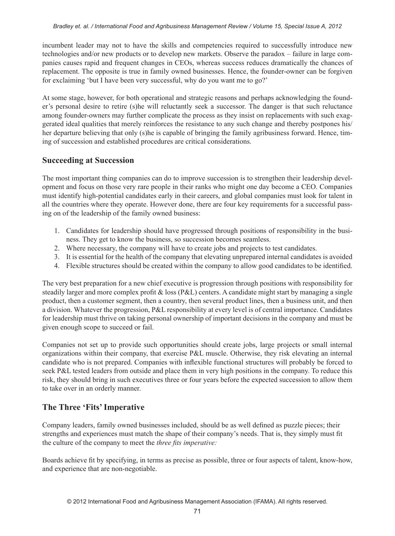incumbent leader may not to have the skills and competencies required to successfully introduce new technologies and/or new products or to develop new markets. Observe the paradox – failure in large companies causes rapid and frequent changes in CEOs, whereas success reduces dramatically the chances of replacement. The opposite is true in family owned businesses. Hence, the founder-owner can be forgiven for exclaiming 'but I have been very successful, why do you want me to go?'

At some stage, however, for both operational and strategic reasons and perhaps acknowledging the founder's personal desire to retire (s)he will reluctantly seek a successor. The danger is that such reluctance among founder-owners may further complicate the process as they insist on replacements with such exaggerated ideal qualities that merely reinforces the resistance to any such change and thereby postpones his/ her departure believing that only (s)he is capable of bringing the family agribusiness forward. Hence, timing of succession and established procedures are critical considerations.

### **Succeeding at Succession**

The most important thing companies can do to improve succession is to strengthen their leadership development and focus on those very rare people in their ranks who might one day become a CEO. Companies must identify high-potential candidates early in their careers, and global companies must look for talent in all the countries where they operate. However done, there are four key requirements for a successful passing on of the leadership of the family owned business:

- 1. Candidates for leadership should have progressed through positions of responsibility in the business. They get to know the business, so succession becomes seamless.
- 2. Where necessary, the company will have to create jobs and projects to test candidates.
- 3. It is essential for the health of the company that elevating unprepared internal candidates is avoided
- 4. Flexible structures should be created within the company to allow good candidates to be identified.

The very best preparation for a new chief executive is progression through positions with responsibility for steadily larger and more complex profit  $\&$  loss (P $\&$ L) centers. A candidate might start by managing a single product, then a customer segment, then a country, then several product lines, then a business unit, and then a division. Whatever the progression, P&L responsibility at every level is of central importance. Candidates for leadership must thrive on taking personal ownership of important decisions in the company and must be given enough scope to succeed or fail.

Companies not set up to provide such opportunities should create jobs, large projects or small internal organizations within their company, that exercise P&L muscle. Otherwise, they risk elevating an internal candidate who is not prepared. Companies with inflexible functional structures will probably be forced to seek P&L tested leaders from outside and place them in very high positions in the company. To reduce this risk, they should bring in such executives three or four years before the expected succession to allow them to take over in an orderly manner.

## **The Three 'Fits' Imperative**

Company leaders, family owned businesses included, should be as well defined as puzzle pieces; their strengths and experiences must match the shape of their company's needs. That is, they simply must fit the culture of the company to meet the *three fits imperative:*

Boards achieve fit by specifying, in terms as precise as possible, three or four aspects of talent, know-how, and experience that are non-negotiable.